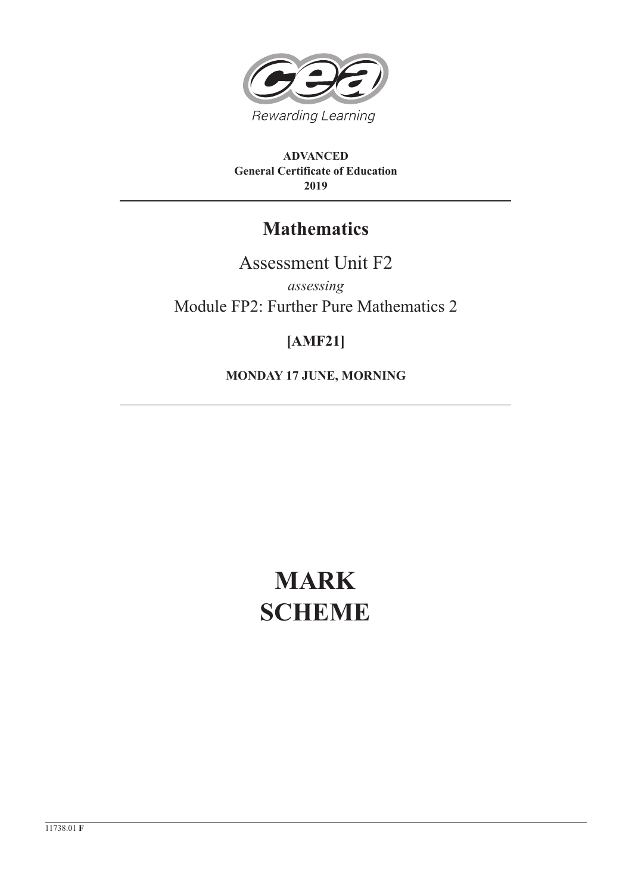

**ADVANCED General Certificate of Education 2019**

## **Mathematics**

Assessment Unit F2 *assessing* Module FP2: Further Pure Mathematics 2

## **[AMF21]**

**MONDAY 17 JUNE, MORNING**

# **MARK SCHEME**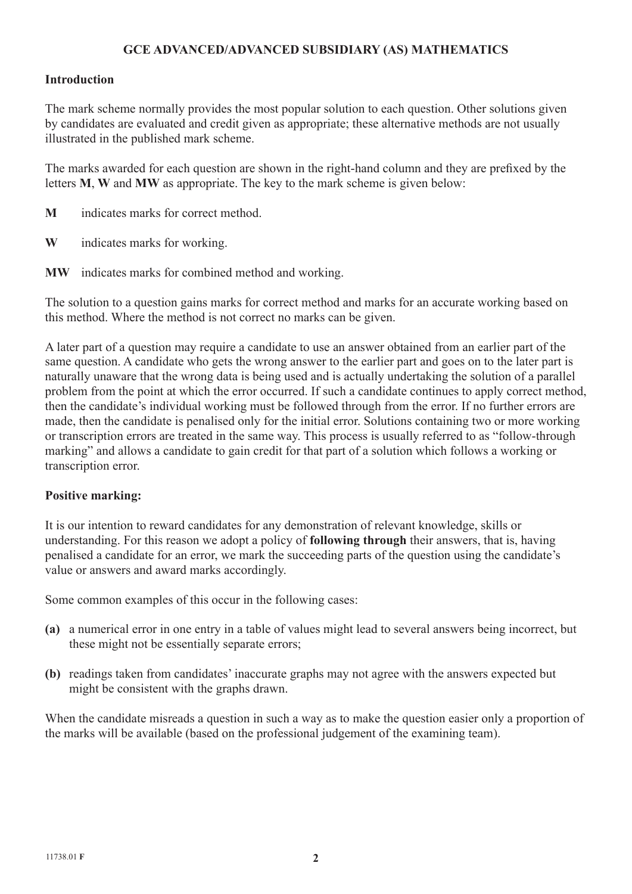### **GCE ADVANCED/ADVANCED SUBSIDIARY (AS) MATHEMATICS**

#### **Introduction**

The mark scheme normally provides the most popular solution to each question. Other solutions given by candidates are evaluated and credit given as appropriate; these alternative methods are not usually illustrated in the published mark scheme.

The marks awarded for each question are shown in the right-hand column and they are prefixed by the letters **M**, **W** and **MW** as appropriate. The key to the mark scheme is given below:

- **M** indicates marks for correct method.
- **W** indicates marks for working.
- **MW** indicates marks for combined method and working.

The solution to a question gains marks for correct method and marks for an accurate working based on this method. Where the method is not correct no marks can be given.

A later part of a question may require a candidate to use an answer obtained from an earlier part of the same question. A candidate who gets the wrong answer to the earlier part and goes on to the later part is naturally unaware that the wrong data is being used and is actually undertaking the solution of a parallel problem from the point at which the error occurred. If such a candidate continues to apply correct method, then the candidate's individual working must be followed through from the error. If no further errors are made, then the candidate is penalised only for the initial error. Solutions containing two or more working or transcription errors are treated in the same way. This process is usually referred to as "follow-through marking" and allows a candidate to gain credit for that part of a solution which follows a working or transcription error.

#### **Positive marking:**

It is our intention to reward candidates for any demonstration of relevant knowledge, skills or understanding. For this reason we adopt a policy of **following through** their answers, that is, having penalised a candidate for an error, we mark the succeeding parts of the question using the candidate's value or answers and award marks accordingly.

Some common examples of this occur in the following cases:

- **(a)** a numerical error in one entry in a table of values might lead to several answers being incorrect, but these might not be essentially separate errors;
- **(b)** readings taken from candidates' inaccurate graphs may not agree with the answers expected but might be consistent with the graphs drawn.

When the candidate misreads a question in such a way as to make the question easier only a proportion of the marks will be available (based on the professional judgement of the examining team).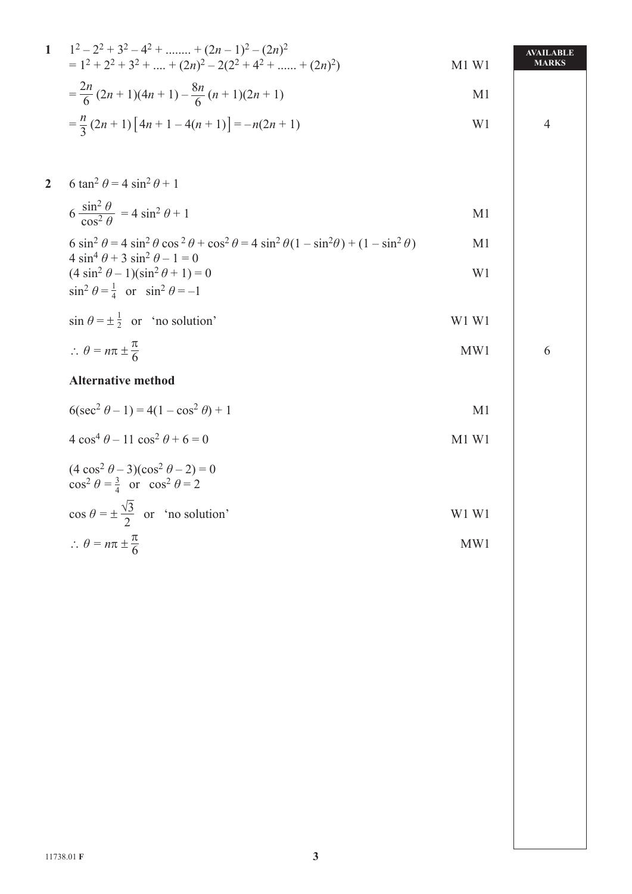|                | 1 $1^2-2^2+3^2-4^2++ (2n-1)^2-(2n)^2$<br>$= 1^2 + 2^2 + 3^2 + \dots + (2n)^2 - 2(2^2 + 4^2 + \dots + (2n)^2)$                                                                | $M1$ W1                       | <b>AVAILABLE</b><br><b>MARKS</b> |
|----------------|------------------------------------------------------------------------------------------------------------------------------------------------------------------------------|-------------------------------|----------------------------------|
|                | $=\frac{2n}{6}(2n+1)(4n+1)-\frac{8n}{6}(n+1)(2n+1)$                                                                                                                          | M <sub>1</sub>                |                                  |
|                | $=\frac{n}{3}(2n+1)\left[4n+1-4(n+1)\right]=-n(2n+1)$                                                                                                                        | W <sub>1</sub>                | $\overline{4}$                   |
|                |                                                                                                                                                                              |                               |                                  |
| $\overline{2}$ | 6 tan <sup>2</sup> $\theta$ = 4 sin <sup>2</sup> $\theta$ + 1                                                                                                                |                               |                                  |
|                | $6 \frac{\sin^2 \theta}{\cos^2 A} = 4 \sin^2 \theta + 1$                                                                                                                     | M <sub>1</sub>                |                                  |
|                | 6 $\sin^2 \theta = 4 \sin^2 \theta \cos^2 \theta + \cos^2 \theta = 4 \sin^2 \theta (1 - \sin^2 \theta) + (1 - \sin^2 \theta)$<br>$4 \sin^4 \theta + 3 \sin^2 \theta - 1 = 0$ | M <sub>1</sub>                |                                  |
|                | $(4 \sin^2 \theta - 1)(\sin^2 \theta + 1) = 0$<br>$\sin^2 \theta = \frac{1}{4}$ or $\sin^2 \theta = -1$                                                                      | W <sub>1</sub>                |                                  |
|                | $\sin \theta = \pm \frac{1}{2}$ or 'no solution'                                                                                                                             | W1 W1                         |                                  |
|                | $\therefore \theta = n\pi \pm \frac{\pi}{6}$                                                                                                                                 | MW1                           | 6                                |
|                | <b>Alternative method</b>                                                                                                                                                    |                               |                                  |
|                | $6(\sec^2 \theta - 1) = 4(1 - \cos^2 \theta) + 1$                                                                                                                            | M <sub>1</sub>                |                                  |
|                | $4\cos^4\theta - 11\cos^2\theta + 6 = 0$                                                                                                                                     | M1 W1                         |                                  |
|                | $(4 \cos^2 \theta - 3)(\cos^2 \theta - 2) = 0$<br>$\cos^2 \theta = \frac{3}{4}$ or $\cos^2 \theta = 2$                                                                       |                               |                                  |
|                | $\cos \theta = \pm \frac{\sqrt{3}}{2}$ or 'no solution'                                                                                                                      | W <sub>1</sub> W <sub>1</sub> |                                  |
|                | $\therefore \theta = n\pi \pm \frac{\pi}{6}$                                                                                                                                 | MW1                           |                                  |
|                |                                                                                                                                                                              |                               |                                  |
|                |                                                                                                                                                                              |                               |                                  |
|                |                                                                                                                                                                              |                               |                                  |
|                |                                                                                                                                                                              |                               |                                  |
|                |                                                                                                                                                                              |                               |                                  |
|                |                                                                                                                                                                              |                               |                                  |
|                |                                                                                                                                                                              |                               |                                  |
|                |                                                                                                                                                                              |                               |                                  |
|                |                                                                                                                                                                              |                               |                                  |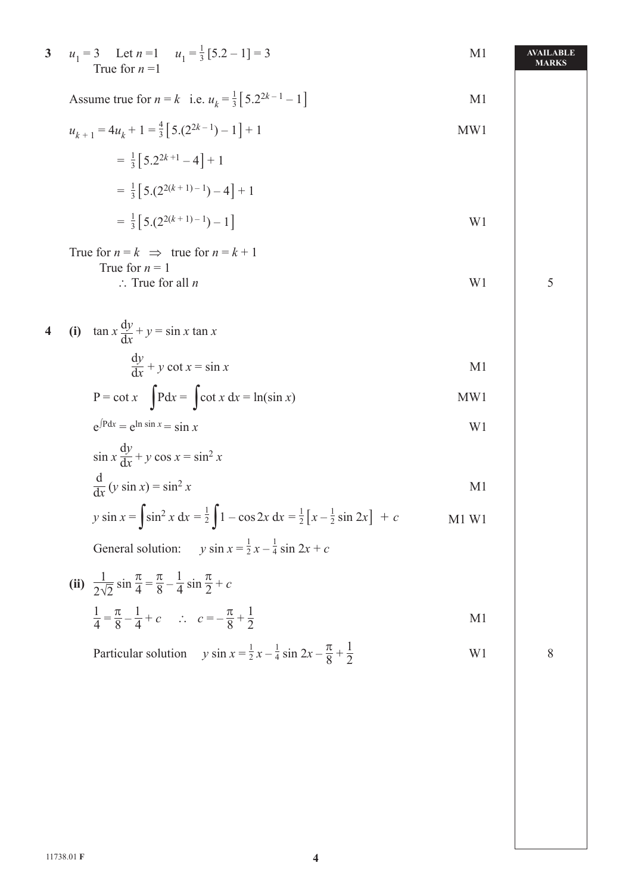| $\mathbf{3}$            | $u_1 = 3$ Let $n = 1$ $u_1 = \frac{1}{3} [5.2 - 1] = 3$<br>True for $n=1$                                  | M <sub>1</sub> | AVAILABLE<br><b>MARKS</b> |
|-------------------------|------------------------------------------------------------------------------------------------------------|----------------|---------------------------|
|                         | Assume true for $n = k$ i.e. $u_k = \frac{1}{3} [5.2^{2k-1} - 1]$                                          | M <sub>1</sub> |                           |
|                         | $u_{k+1} = 4u_k + 1 = \frac{4}{3} [5(2^{2k-1}) - 1] + 1$                                                   | MW1            |                           |
|                         | $=\frac{1}{3}[5.2^{2k+1}-4]+1$                                                                             |                |                           |
|                         | $=\frac{1}{3}[5(2^{2(k+1)-1})-4]+1$                                                                        |                |                           |
|                         | $=\frac{1}{3}[5(2^{2(k+1)-1})-1]$                                                                          | W <sub>1</sub> |                           |
|                         | True for $n = k \implies$ true for $n = k + 1$<br>True for $n = 1$                                         |                |                           |
|                         | $\therefore$ True for all <i>n</i>                                                                         | W <sub>1</sub> | 5                         |
| $\overline{\mathbf{4}}$ | (i) $\tan x \frac{dy}{dx} + y = \sin x \tan x$                                                             |                |                           |
|                         | $\frac{dy}{dx} + y \cot x = \sin x$                                                                        | M <sub>1</sub> |                           |
|                         | $P = \cot x$ $\int P dx = \int \cot x dx = \ln(\sin x)$                                                    | MW1            |                           |
|                         | $e^{\int P dx} = e^{\ln \sin x} = \sin x$                                                                  | W <sub>1</sub> |                           |
|                         | $\sin x \frac{dy}{dx} + y \cos x = \sin^2 x$                                                               |                |                           |
|                         | $\frac{d}{dx} (y \sin x) = \sin^2 x$                                                                       | M <sub>1</sub> |                           |
|                         | y sin $x = \int \sin^2 x dx = \frac{1}{2} \int 1 - \cos 2x dx = \frac{1}{2} [x - \frac{1}{2} \sin 2x] + c$ | $M1$ W1        |                           |
|                         | General solution: $y \sin x = \frac{1}{2}x - \frac{1}{4} \sin 2x + c$                                      |                |                           |
|                         | (ii) $\frac{1}{2\sqrt{2}}\sin\frac{\pi}{4} = \frac{\pi}{8} - \frac{1}{4}\sin\frac{\pi}{2} + c$             |                |                           |
|                         | $\frac{1}{4} = \frac{\pi}{8} - \frac{1}{4} + c$ : $c = -\frac{\pi}{8} + \frac{1}{2}$                       | M <sub>1</sub> |                           |
|                         | Particular solution $y \sin x = \frac{1}{2}x - \frac{1}{4} \sin 2x - \frac{\pi}{8} + \frac{1}{2}$          | W <sub>1</sub> | 8                         |
|                         |                                                                                                            |                |                           |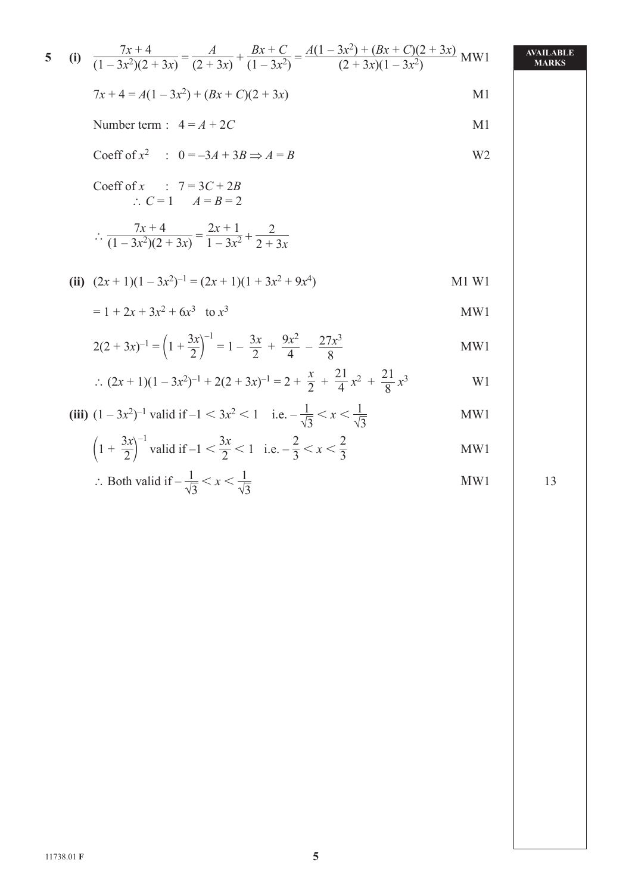5 (i) 
$$
\frac{7x+4}{(1-3x^2)(2+3x)} = \frac{A}{(2+3x)} + \frac{Bx+C}{(1-3x^2)} = \frac{A(1-3x^2) + (Bx+C)(2+3x)}{(2+3x)(1-3x^2)}
$$
MW1  
\n
$$
7x+4 = A(1-3x^2) + (Bx+C)(2+3x)
$$
MM  
\nNumber term :  $4 = A + 2C$   
\nCoeff of  $x^2$  :  $0 = -3A + 3B \Rightarrow A = B$   
\n $\therefore C = 1$   $A = B = 2$   
\n $\therefore \frac{7x+4}{(1-3x^2)(2+3x)} = \frac{2x+1}{1-3x^2} + \frac{2}{2+3x}$   
\n(ii)  $(2x+1)(1-3x^2)^{-1} = (2x+1)(1+3x^2+9x^4)$   
\n $= 1+2x+3x^2+6x^3$  to  $x^3$   
\n $2(2+3x)^{-1} = (1+\frac{3x}{2})^{-1} = 1-\frac{3x}{2}+\frac{9x^2}{4}-\frac{27x^3}{8}$   
\n(iii)  $(1-3x^2)^{-1} + 2(2+3x)^{-1} = 2+\frac{x}{2}+\frac{21}{4}x^2+\frac{21}{8}x^3$   
\n(iiii)  $(1-3x^2)^{-1}$  valid if  $-1 < 3x^2 < 1$  i.e.  $-\frac{1}{\sqrt{3}} < x < \frac{1}{\sqrt{3}}$   
\n(iiv)  $(1-\frac{3x}{2})^{-1}$  valid if  $-1 < \frac{3x}{2} < 1$  i.e.  $-\frac{1}{\sqrt{3}} < x < \frac{1}{\sqrt{3}}$   
\n $\therefore$  Both valid if  $-\frac{1}{16} < x < \frac{1}{16}$   
\n $\therefore$ 

$$
\therefore \text{Both valid if } -\frac{1}{\sqrt{3}} < x < \frac{1}{\sqrt{3}} \tag{13}
$$

 **5**  11738.01 **F**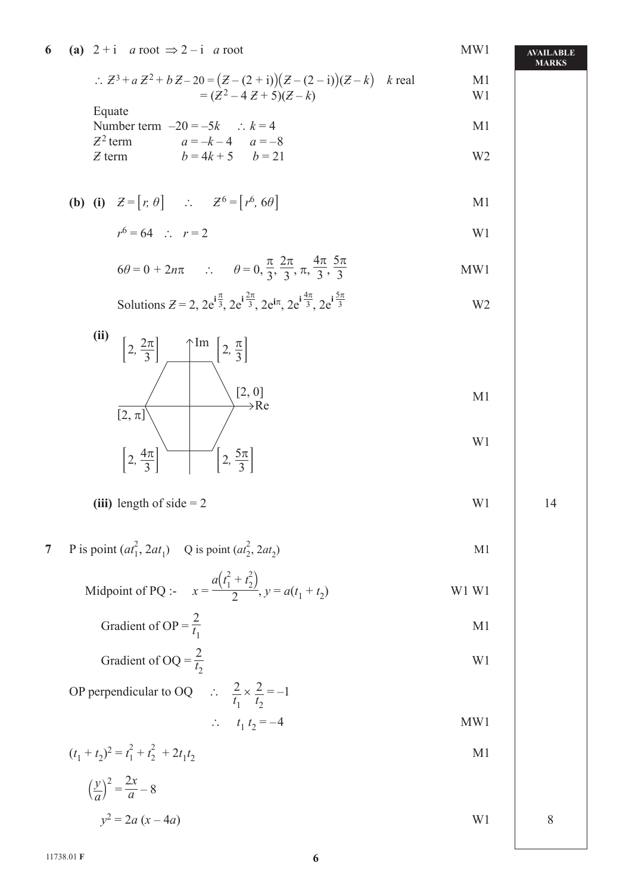|   | : $Z^3 + a Z^2 + b Z - 20 = (Z - (2 + i))(Z - (2 - i))(Z - k)$ k real<br>$=(Z^2-4Z+5)(Z-k)$                                                           | M1<br>W <sub>1</sub> |    |
|---|-------------------------------------------------------------------------------------------------------------------------------------------------------|----------------------|----|
|   | Equate<br>Number term $-20 = -5k$ : $k = 4$                                                                                                           | M <sub>1</sub>       |    |
|   | $a = -k - 4$ $a = -8$<br>$Z^2$ term<br>$b = 4k + 5$ $b = 21$<br>$Z$ term                                                                              | W <sub>2</sub>       |    |
|   | <b>(b)</b> (i) $Z = [r, \theta]$ : $Z^6 = [r^6, 6\theta]$                                                                                             | M1                   |    |
|   | $r^6 = 64$ : $r = 2$                                                                                                                                  | W <sub>1</sub>       |    |
|   | $6\theta = 0 + 2n\pi$ : $\theta = 0, \frac{\pi}{3}, \frac{2\pi}{3}, \pi, \frac{4\pi}{3}, \frac{5\pi}{3}$                                              | MW1                  |    |
|   | Solutions $Z = 2$ , $2e^{i\frac{\pi}{3}}$ , $2e^{i\frac{2\pi}{3}}$ , $2e^{i\pi}$ , $2e^{i\frac{4\pi}{3}}$ , $2e^{i\frac{5\pi}{3}}$                    | W <sub>2</sub>       |    |
|   | (ii)<br>$\left[2, \frac{2\pi}{3}\right]$ $\left[\begin{array}{c} \uparrow \text{Im} \\ \downarrow \end{array}\right]$ $\left[2, \frac{\pi}{3}\right]$ |                      |    |
|   | [2, 0]<br>$\rightarrow$ Re<br>$[2, \pi]$                                                                                                              | M1                   |    |
|   | $\left[2,\frac{5\pi}{3}\right]$<br>$\left[2, \frac{4\pi}{3}\right]$                                                                                   | W1                   |    |
|   | (iii) length of side $= 2$                                                                                                                            | W1                   | 14 |
| 7 | P is point $(at_1^2, 2at_1)$ Q is point $(at_2^2, 2at_2)$                                                                                             | M1                   |    |
|   | Midpoint of PQ :- $x = \frac{a(t_1^2 + t_2^2)}{2}$ , $y = a(t_1 + t_2)$                                                                               | W1 W1                |    |
|   | Gradient of OP = $\frac{2}{t_1}$                                                                                                                      | M1                   |    |
|   | Gradient of OQ = $\frac{2}{t_2}$                                                                                                                      | W <sub>1</sub>       |    |
|   | OP perpendicular to OQ $\therefore \frac{2}{t_1} \times \frac{2}{t_2} = -1$                                                                           |                      |    |
|   | $\therefore t_1 t_2 = -4$                                                                                                                             | MW1                  |    |
|   | $(t_1 + t_2)^2 = t_1^2 + t_2^2 + 2t_1t_2$                                                                                                             | M1                   |    |
|   | $\left(\frac{y}{a}\right)^2 = \frac{2x}{a} - 8$                                                                                                       |                      |    |
|   | $y^2 = 2a(x-4a)$                                                                                                                                      | W <sub>1</sub>       | 8  |

**6** (a)  $2 + i$  *a* root  $\Rightarrow 2 - i$  *a* root MW1

#### **AVAILABLE MARKS**